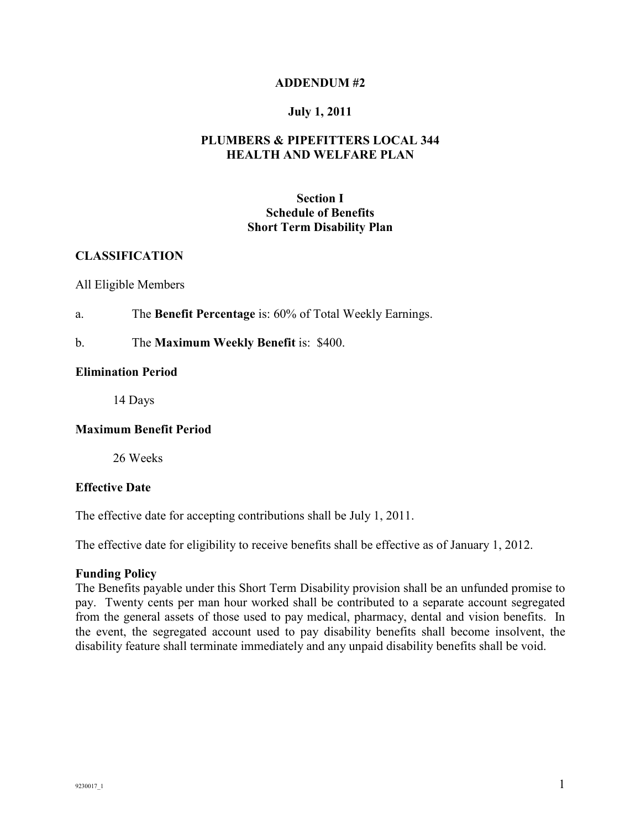### **ADDENDUM #2**

### **July 1, 2011**

## **PLUMBERS & PIPEFITTERS LOCAL 344 HEALTH AND WELFARE PLAN**

## **Section I Schedule of Benefits Short Term Disability Plan**

## **CLASSIFICATION**

#### All Eligible Members

a. The **Benefit Percentage** is: 60% of Total Weekly Earnings.

### b. The **Maximum Weekly Benefit** is: \$400.

#### **Elimination Period**

14 Days

#### **Maximum Benefit Period**

26 Weeks

#### **Effective Date**

The effective date for accepting contributions shall be July 1, 2011.

The effective date for eligibility to receive benefits shall be effective as of January 1, 2012.

#### **Funding Policy**

The Benefits payable under this Short Term Disability provision shall be an unfunded promise to pay. Twenty cents per man hour worked shall be contributed to a separate account segregated from the general assets of those used to pay medical, pharmacy, dental and vision benefits. In the event, the segregated account used to pay disability benefits shall become insolvent, the disability feature shall terminate immediately and any unpaid disability benefits shall be void.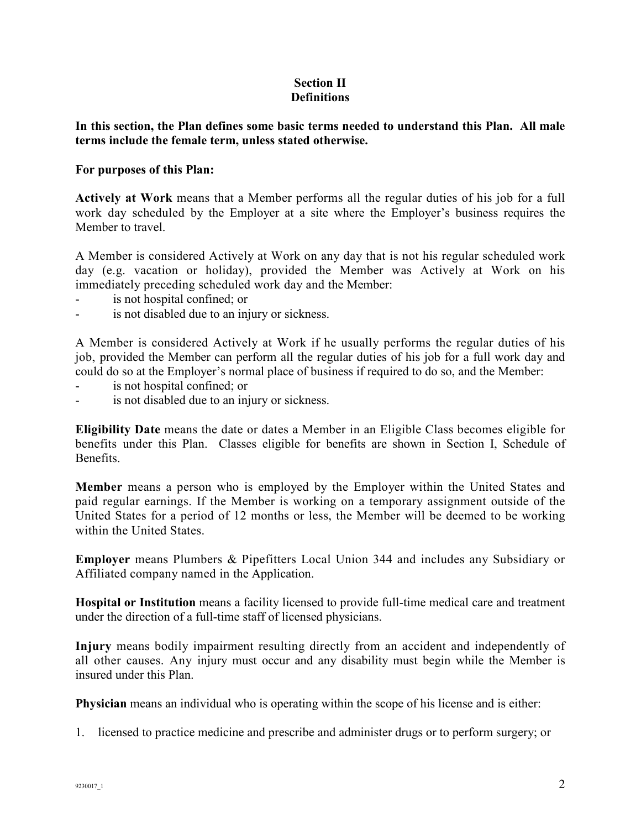## **Section II Definitions**

**In this section, the Plan defines some basic terms needed to understand this Plan. All male terms include the female term, unless stated otherwise.** 

## **For purposes of this Plan:**

**Actively at Work** means that a Member performs all the regular duties of his job for a full work day scheduled by the Employer at a site where the Employer's business requires the Member to travel.

A Member is considered Actively at Work on any day that is not his regular scheduled work day (e.g. vacation or holiday), provided the Member was Actively at Work on his immediately preceding scheduled work day and the Member:

- is not hospital confined; or
- <sup>-</sup> is not disabled due to an injury or sickness.

A Member is considered Actively at Work if he usually performs the regular duties of his job, provided the Member can perform all the regular duties of his job for a full work day and could do so at the Employer's normal place of business if required to do so, and the Member:

- is not hospital confined; or
- <sup>-</sup> is not disabled due to an injury or sickness.

**Eligibility Date** means the date or dates a Member in an Eligible Class becomes eligible for benefits under this Plan. Classes eligible for benefits are shown in Section I, Schedule of **Benefits** 

**Member** means a person who is employed by the Employer within the United States and paid regular earnings. If the Member is working on a temporary assignment outside of the United States for a period of 12 months or less, the Member will be deemed to be working within the United States.

**Employer** means Plumbers & Pipefitters Local Union 344 and includes any Subsidiary or Affiliated company named in the Application.

**Hospital or Institution** means a facility licensed to provide full-time medical care and treatment under the direction of a full-time staff of licensed physicians.

**Injury** means bodily impairment resulting directly from an accident and independently of all other causes. Any injury must occur and any disability must begin while the Member is insured under this Plan.

**Physician** means an individual who is operating within the scope of his license and is either:

1. licensed to practice medicine and prescribe and administer drugs or to perform surgery; or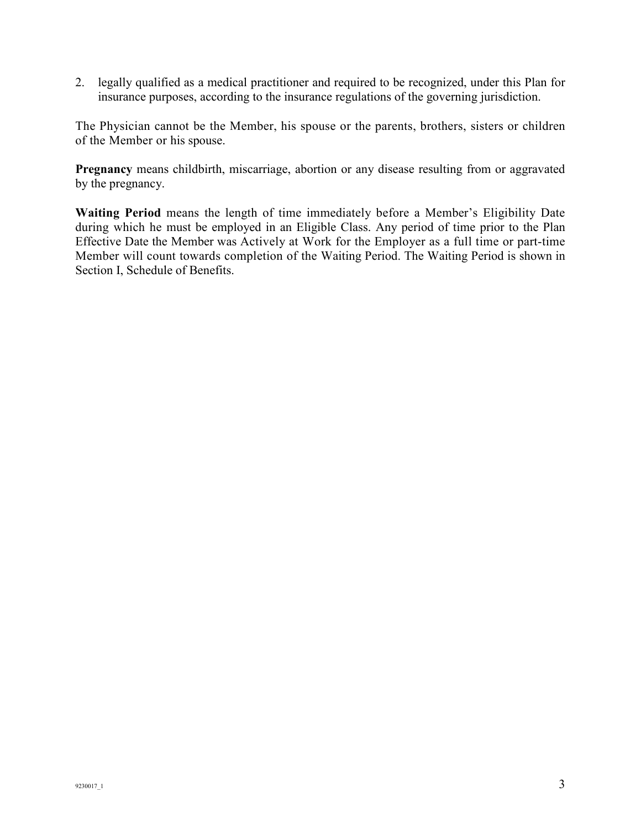2. legally qualified as a medical practitioner and required to be recognized, under this Plan for insurance purposes, according to the insurance regulations of the governing jurisdiction.

The Physician cannot be the Member, his spouse or the parents, brothers, sisters or children of the Member or his spouse.

**Pregnancy** means childbirth, miscarriage, abortion or any disease resulting from or aggravated by the pregnancy.

**Waiting Period** means the length of time immediately before a Member's Eligibility Date during which he must be employed in an Eligible Class. Any period of time prior to the Plan Effective Date the Member was Actively at Work for the Employer as a full time or part-time Member will count towards completion of the Waiting Period. The Waiting Period is shown in Section I, Schedule of Benefits.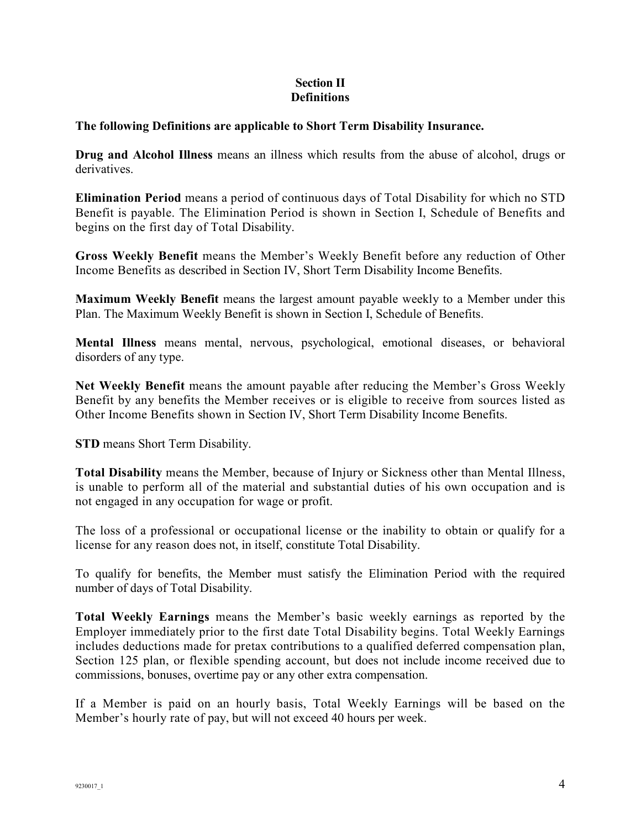# **Section II Definitions**

# **The following Definitions are applicable to Short Term Disability Insurance.**

**Drug and Alcohol Illness** means an illness which results from the abuse of alcohol, drugs or derivatives.

**Elimination Period** means a period of continuous days of Total Disability for which no STD Benefit is payable. The Elimination Period is shown in Section I, Schedule of Benefits and begins on the first day of Total Disability.

**Gross Weekly Benefit** means the Member's Weekly Benefit before any reduction of Other Income Benefits as described in Section IV, Short Term Disability Income Benefits.

**Maximum Weekly Benefit** means the largest amount payable weekly to a Member under this Plan. The Maximum Weekly Benefit is shown in Section I, Schedule of Benefits.

**Mental Illness** means mental, nervous, psychological, emotional diseases, or behavioral disorders of any type.

**Net Weekly Benefit** means the amount payable after reducing the Member's Gross Weekly Benefit by any benefits the Member receives or is eligible to receive from sources listed as Other Income Benefits shown in Section IV, Short Term Disability Income Benefits.

**STD** means Short Term Disability.

**Total Disability** means the Member, because of Injury or Sickness other than Mental Illness, is unable to perform all of the material and substantial duties of his own occupation and is not engaged in any occupation for wage or profit.

The loss of a professional or occupational license or the inability to obtain or qualify for a license for any reason does not, in itself, constitute Total Disability.

To qualify for benefits, the Member must satisfy the Elimination Period with the required number of days of Total Disability.

**Total Weekly Earnings** means the Member's basic weekly earnings as reported by the Employer immediately prior to the first date Total Disability begins. Total Weekly Earnings includes deductions made for pretax contributions to a qualified deferred compensation plan, Section 125 plan, or flexible spending account, but does not include income received due to commissions, bonuses, overtime pay or any other extra compensation.

If a Member is paid on an hourly basis, Total Weekly Earnings will be based on the Member's hourly rate of pay, but will not exceed 40 hours per week.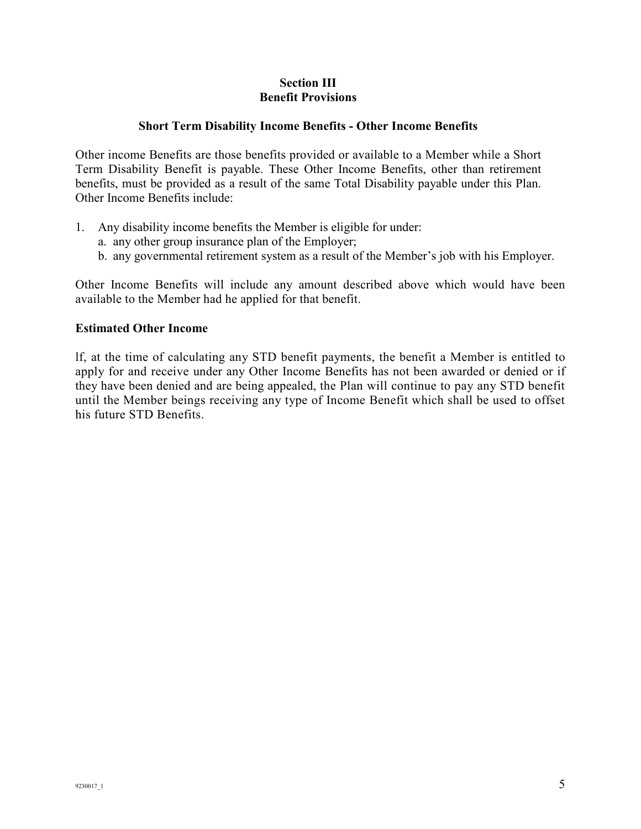## **Section III Benefit Provisions**

## **Short Term Disability Income Benefits - Other Income Benefits**

Other income Benefits are those benefits provided or available to a Member while a Short Term Disability Benefit is payable. These Other Income Benefits, other than retirement benefits, must be provided as a result of the same Total Disability payable under this Plan. Other Income Benefits include:

- 1. Any disability income benefits the Member is eligible for under:
	- a. any other group insurance plan of the Employer;
	- b. any governmental retirement system as a result of the Member's job with his Employer.

Other Income Benefits will include any amount described above which would have been available to the Member had he applied for that benefit.

## **Estimated Other Income**

lf, at the time of calculating any STD benefit payments, the benefit a Member is entitled to apply for and receive under any Other Income Benefits has not been awarded or denied or if they have been denied and are being appealed, the Plan will continue to pay any STD benefit until the Member beings receiving any type of Income Benefit which shall be used to offset his future STD Benefits.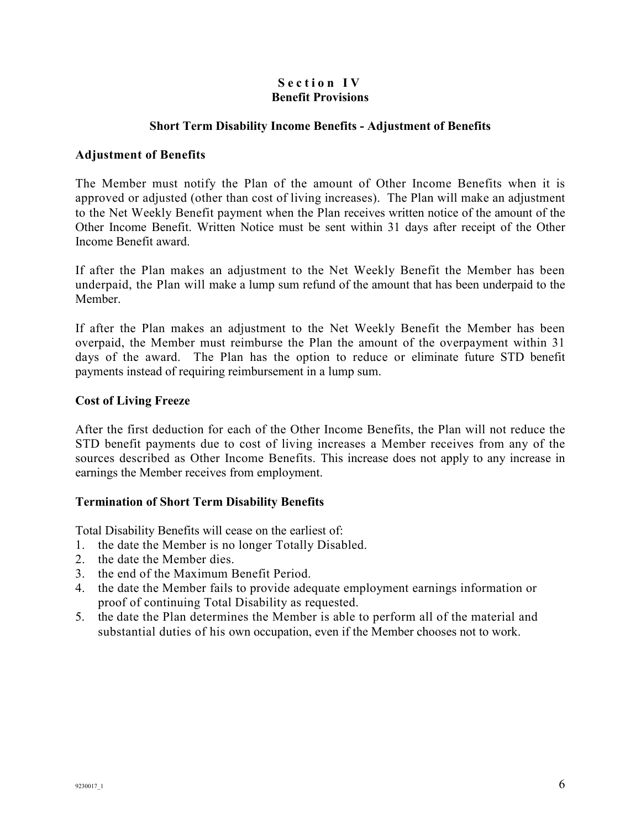## Section IV **Benefit Provisions**

## **Short Term Disability Income Benefits - Adjustment of Benefits**

## **Adjustment of Benefits**

The Member must notify the Plan of the amount of Other Income Benefits when it is approved or adjusted (other than cost of living increases). The Plan will make an adjustment to the Net Weekly Benefit payment when the Plan receives written notice of the amount of the Other Income Benefit. Written Notice must be sent within 31 days after receipt of the Other Income Benefit award.

If after the Plan makes an adjustment to the Net Weekly Benefit the Member has been underpaid, the Plan will make a lump sum refund of the amount that has been underpaid to the Member.

If after the Plan makes an adjustment to the Net Weekly Benefit the Member has been overpaid, the Member must reimburse the Plan the amount of the overpayment within 31 days of the award. The Plan has the option to reduce or eliminate future STD benefit payments instead of requiring reimbursement in a lump sum.

## **Cost of Living Freeze**

After the first deduction for each of the Other Income Benefits, the Plan will not reduce the STD benefit payments due to cost of living increases a Member receives from any of the sources described as Other Income Benefits. This increase does not apply to any increase in earnings the Member receives from employment.

## **Termination of Short Term Disability Benefits**

Total Disability Benefits will cease on the earliest of:

- 1. the date the Member is no longer Totally Disabled.
- 2. the date the Member dies.
- 3. the end of the Maximum Benefit Period.
- 4. the date the Member fails to provide adequate employment earnings information or proof of continuing Total Disability as requested.
- 5. the date the Plan determines the Member is able to perform all of the material and substantial duties of his own occupation, even if the Member chooses not to work.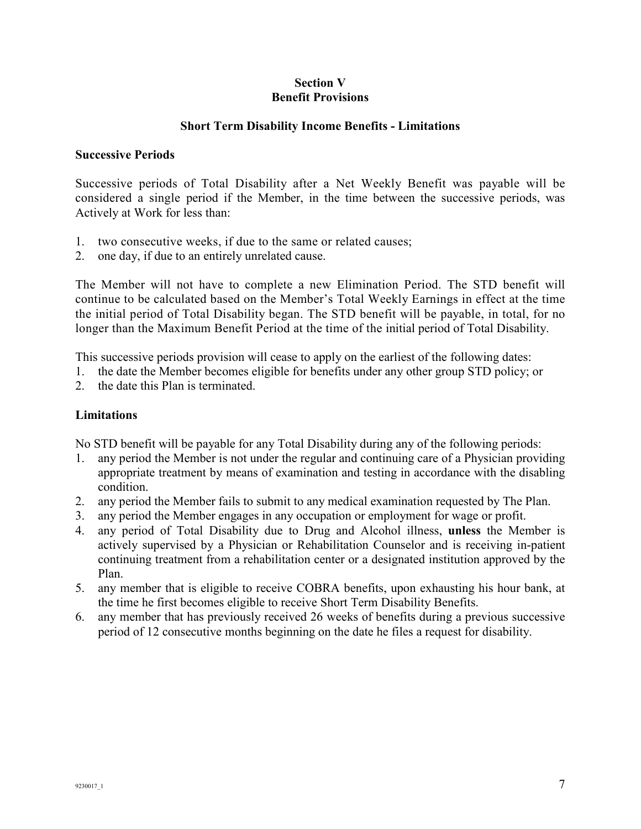## **Section V Benefit Provisions**

## **Short Term Disability Income Benefits - Limitations**

## **Successive Periods**

Successive periods of Total Disability after a Net Weekly Benefit was payable will be considered a single period if the Member, in the time between the successive periods, was Actively at Work for less than:

- 1. two consecutive weeks, if due to the same or related causes;
- 2. one day, if due to an entirely unrelated cause.

The Member will not have to complete a new Elimination Period. The STD benefit will continue to be calculated based on the Member's Total Weekly Earnings in effect at the time the initial period of Total Disability began. The STD benefit will be payable, in total, for no longer than the Maximum Benefit Period at the time of the initial period of Total Disability.

This successive periods provision will cease to apply on the earliest of the following dates:

- 1. the date the Member becomes eligible for benefits under any other group STD policy; or
- 2. the date this Plan is terminated.

## **Limitations**

No STD benefit will be payable for any Total Disability during any of the following periods:

- 1. any period the Member is not under the regular and continuing care of a Physician providing appropriate treatment by means of examination and testing in accordance with the disabling condition.
- 2. any period the Member fails to submit to any medical examination requested by The Plan.
- 3. any period the Member engages in any occupation or employment for wage or profit.
- 4. any period of Total Disability due to Drug and Alcohol illness, **unless** the Member is actively supervised by a Physician or Rehabilitation Counselor and is receiving in-patient continuing treatment from a rehabilitation center or a designated institution approved by the Plan.
- 5. any member that is eligible to receive COBRA benefits, upon exhausting his hour bank, at the time he first becomes eligible to receive Short Term Disability Benefits.
- 6. any member that has previously received 26 weeks of benefits during a previous successive period of 12 consecutive months beginning on the date he files a request for disability.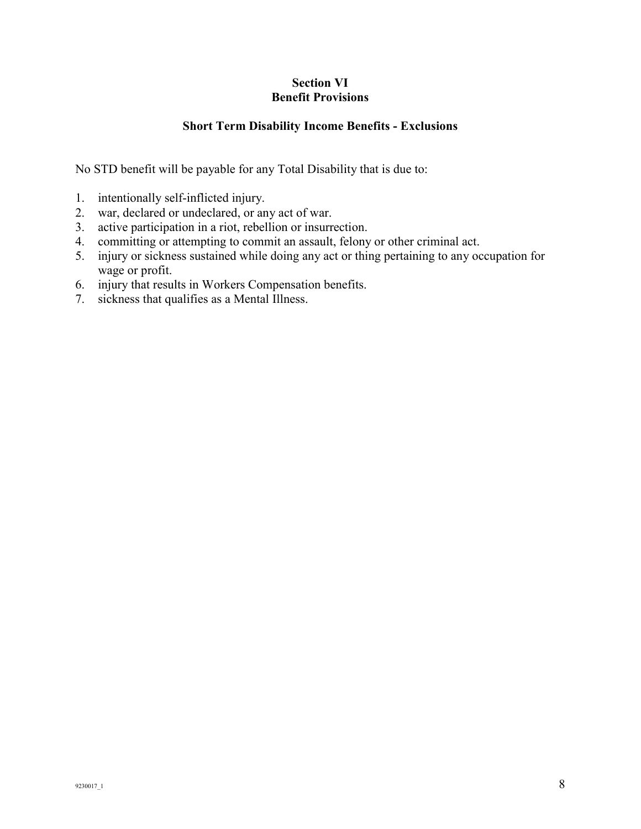# **Section VI Benefit Provisions**

# **Short Term Disability Income Benefits - Exclusions**

No STD benefit will be payable for any Total Disability that is due to:

- 1. intentionally self-inflicted injury.
- 2. war, declared or undeclared, or any act of war.
- 3. active participation in a riot, rebellion or insurrection.
- 4. committing or attempting to commit an assault, felony or other criminal act.
- 5. injury or sickness sustained while doing any act or thing pertaining to any occupation for wage or profit.
- 6. injury that results in Workers Compensation benefits.
- 7. sickness that qualifies as a Mental Illness.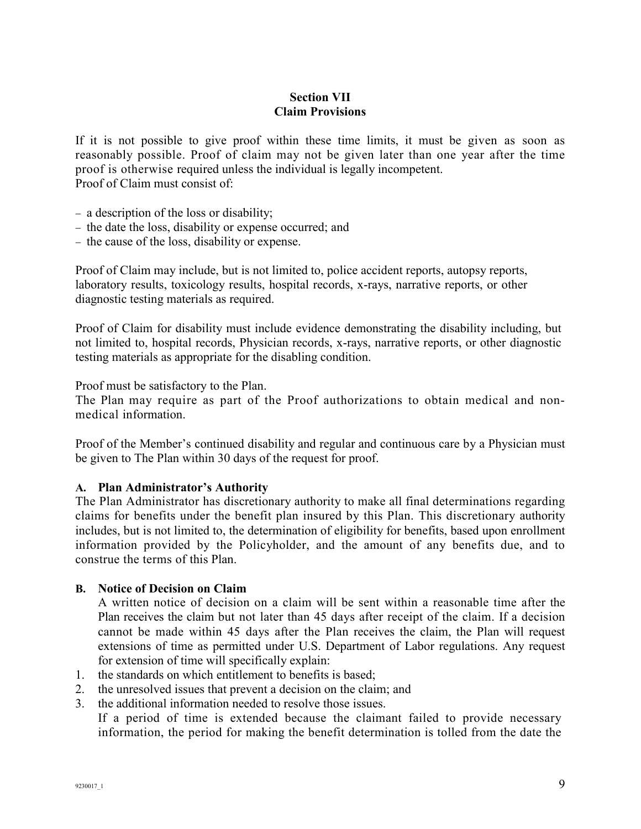# **Section VII Claim Provisions**

If it is not possible to give proof within these time limits, it must be given as soon as reasonably possible. Proof of claim may not be given later than one year after the time proof is otherwise required unless the individual is legally incompetent. Proof of Claim must consist of:

- − a description of the loss or disability;
- − the date the loss, disability or expense occurred; and
- − the cause of the loss, disability or expense.

Proof of Claim may include, but is not limited to, police accident reports, autopsy reports, laboratory results, toxicology results, hospital records, x-rays, narrative reports, or other diagnostic testing materials as required.

Proof of Claim for disability must include evidence demonstrating the disability including, but not limited to, hospital records, Physician records, x-rays, narrative reports, or other diagnostic testing materials as appropriate for the disabling condition.

Proof must be satisfactory to the Plan.

The Plan may require as part of the Proof authorizations to obtain medical and nonmedical information.

Proof of the Member's continued disability and regular and continuous care by a Physician must be given to The Plan within 30 days of the request for proof.

## **A. Plan Administrator's Authority**

The Plan Administrator has discretionary authority to make all final determinations regarding claims for benefits under the benefit plan insured by this Plan. This discretionary authority includes, but is not limited to, the determination of eligibility for benefits, based upon enrollment information provided by the Policyholder, and the amount of any benefits due, and to construe the terms of this Plan.

#### **B. Notice of Decision on Claim**

A written notice of decision on a claim will be sent within a reasonable time after the Plan receives the claim but not later than 45 days after receipt of the claim. If a decision cannot be made within 45 days after the Plan receives the claim, the Plan will request extensions of time as permitted under U.S. Department of Labor regulations. Any request for extension of time will specifically explain:

- 1. the standards on which entitlement to benefits is based;
- 2. the unresolved issues that prevent a decision on the claim; and
- 3. the additional information needed to resolve those issues.

If a period of time is extended because the claimant failed to provide necessary information, the period for making the benefit determination is tolled from the date the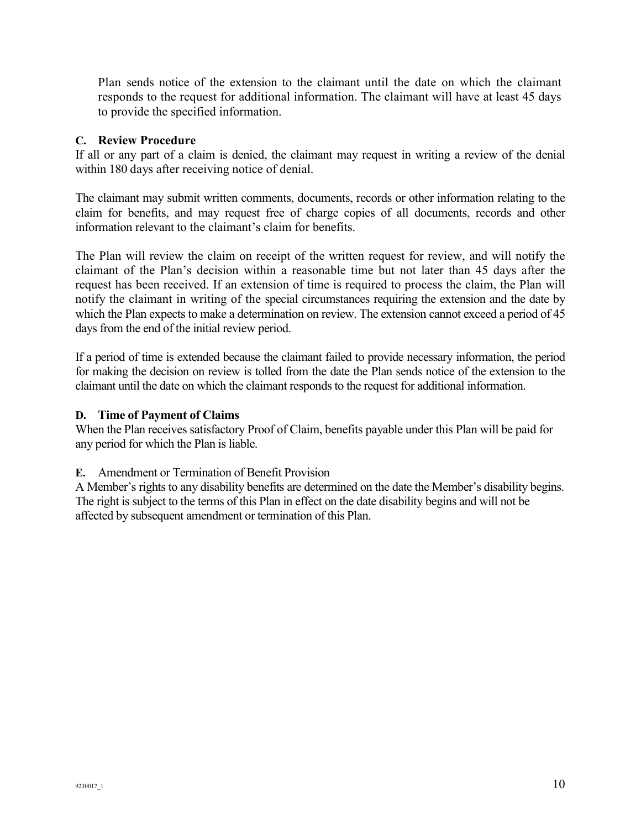Plan sends notice of the extension to the claimant until the date on which the claimant responds to the request for additional information. The claimant will have at least 45 days to provide the specified information.

## **C. Review Procedure**

If all or any part of a claim is denied, the claimant may request in writing a review of the denial within 180 days after receiving notice of denial.

The claimant may submit written comments, documents, records or other information relating to the claim for benefits, and may request free of charge copies of all documents, records and other information relevant to the claimant's claim for benefits.

The Plan will review the claim on receipt of the written request for review, and will notify the claimant of the Plan's decision within a reasonable time but not later than 45 days after the request has been received. If an extension of time is required to process the claim, the Plan will notify the claimant in writing of the special circumstances requiring the extension and the date by which the Plan expects to make a determination on review. The extension cannot exceed a period of 45 days from the end of the initial review period.

If a period of time is extended because the claimant failed to provide necessary information, the period for making the decision on review is tolled from the date the Plan sends notice of the extension to the claimant until the date on which the claimant responds to the request for additional information.

## **D. Time of Payment of Claims**

When the Plan receives satisfactory Proof of Claim, benefits payable under this Plan will be paid for any period for which the Plan is liable.

## **E.** Amendment or Termination of Benefit Provision

A Member's rights to any disability benefits are determined on the date the Member's disability begins. The right is subject to the terms of this Plan in effect on the date disability begins and will not be affected by subsequent amendment or termination of this Plan.